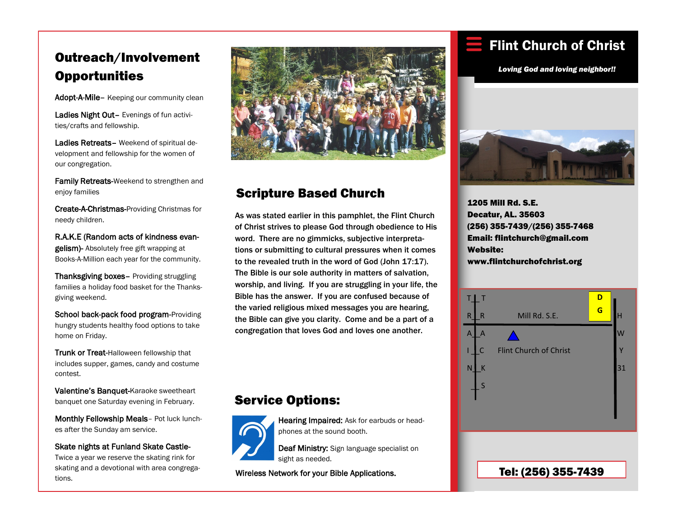# Outreach/Involvement **Opportunities**

Adopt-A-Mile-Keeping our community clean

Ladies Night Out- Evenings of fun activities/crafts and fellowship.

Ladies Retreats - Weekend of spiritual development and fellowship for the women of our congregation.

**Family Retreats-**Weekend to strengthen and enjoy families

Create-A-Christmas-Providing Christmas for needy children.

R.A.K.E (Random acts of kindness evangelism)- Absolutely free gift wrapping at Books-A-Million each year for the community.

Thanksgiving boxes– Providing struggling families a holiday food basket for the Thanksgiving weekend.

School back-pack food program-Providing hungry students healthy food options to take home on Friday.

Trunk or Treat-Halloween fellowship that includes supper, games, candy and costume contest.

Valentine's Banquet-Karaoke sweetheart banquet one Saturday evening in February.

Monthly Fellowship Meals- Pot luck lunches after the Sunday am service.

Skate nights at Funland Skate Castle-Twice a year we reserve the skating rink for skating and a devotional with area congregations.



## Scripture Based Church

As was stated earlier in this pamphlet, the Flint Church of Christ strives to please God through obedience to His word. There are no gimmicks, subjective interpretations or submitting to cultural pressures when it comes to the revealed truth in the word of God (John 17:17). The Bible is our sole authority in matters of salvation, worship, and living. If you are struggling in your life, the Bible has the answer. If you are confused because of the varied religious mixed messages you are hearing, the Bible can give you clarity. Come and be a part of a congregation that loves God and loves one another.

## Service Options:



Hearing Impaired: Ask for earbuds or headphones at the sound booth.

Deaf Ministry: Sign language specialist on sight as needed.

Wireless Network for your Bible Applications.

# Flint Church of Christ

*Loving God and loving neighbor!!*



1205 Mill Rd. S.E. Decatur, AL. 35603 (256) 355-7439/(256) 355-7468 Email: flintchurch@gmail.com Website: www.flintchurchofchrist.org